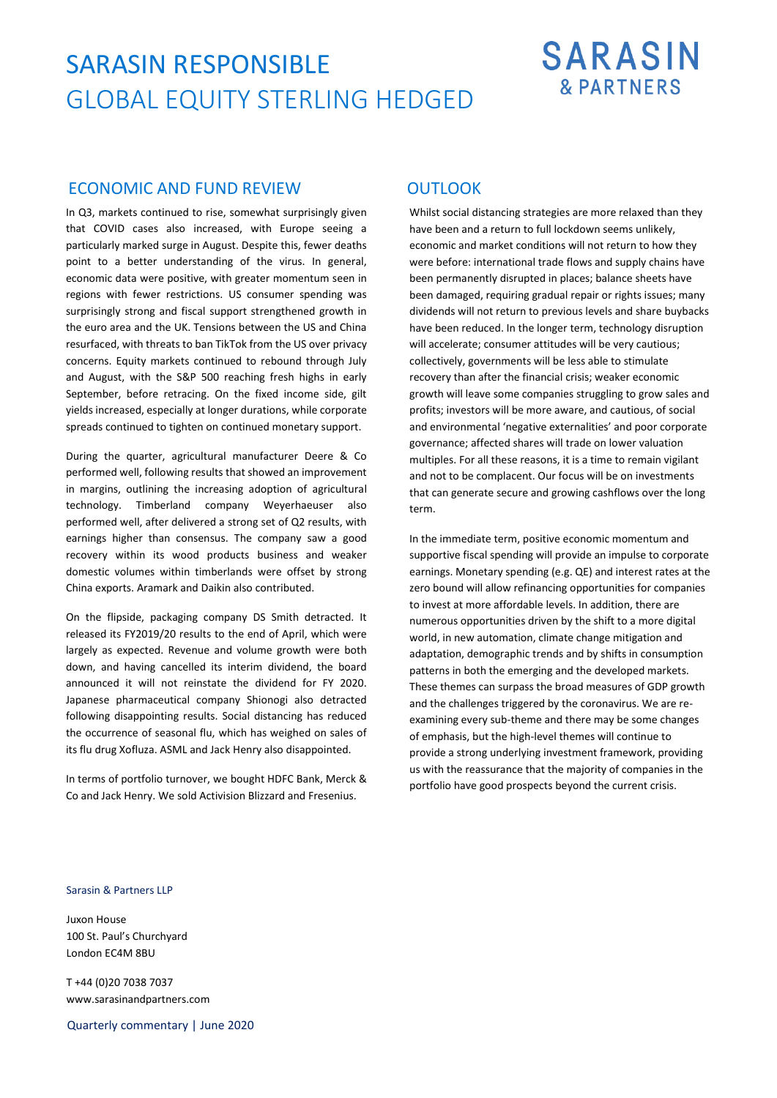## SARASIN RESPONSIBLE GLOBAL EQUITY STERLING HEDGED

# **SARASIN & PARTNERS**

## ECONOMIC AND FUND REVIEW OUTLOOK

In Q3, markets continued to rise, somewhat surprisingly given that COVID cases also increased, with Europe seeing a particularly marked surge in August. Despite this, fewer deaths point to a better understanding of the virus. In general, economic data were positive, with greater momentum seen in regions with fewer restrictions. US consumer spending was surprisingly strong and fiscal support strengthened growth in the euro area and the UK. Tensions between the US and China resurfaced, with threats to ban TikTok from the US over privacy concerns. Equity markets continued to rebound through July and August, with the S&P 500 reaching fresh highs in early September, before retracing. On the fixed income side, gilt yields increased, especially at longer durations, while corporate spreads continued to tighten on continued monetary support.

During the quarter, agricultural manufacturer Deere & Co performed well, following results that showed an improvement in margins, outlining the increasing adoption of agricultural technology. Timberland company Weyerhaeuser also performed well, after delivered a strong set of Q2 results, with earnings higher than consensus. The company saw a good recovery within its wood products business and weaker domestic volumes within timberlands were offset by strong China exports. Aramark and Daikin also contributed.

On the flipside, packaging company DS Smith detracted. It released its FY2019/20 results to the end of April, which were largely as expected. Revenue and volume growth were both down, and having cancelled its interim dividend, the board announced it will not reinstate the dividend for FY 2020. Japanese pharmaceutical company Shionogi also detracted following disappointing results. Social distancing has reduced the occurrence of seasonal flu, which has weighed on sales of its flu drug Xofluza. ASML and Jack Henry also disappointed.

In terms of portfolio turnover, we bought HDFC Bank, Merck & Co and Jack Henry. We sold Activision Blizzard and Fresenius.

Whilst social distancing strategies are more relaxed than they have been and a return to full lockdown seems unlikely, economic and market conditions will not return to how they were before: international trade flows and supply chains have been permanently disrupted in places; balance sheets have been damaged, requiring gradual repair or rights issues; many dividends will not return to previous levels and share buybacks have been reduced. In the longer term, technology disruption will accelerate; consumer attitudes will be very cautious; collectively, governments will be less able to stimulate recovery than after the financial crisis; weaker economic growth will leave some companies struggling to grow sales and profits; investors will be more aware, and cautious, of social and environmental 'negative externalities' and poor corporate governance; affected shares will trade on lower valuation multiples. For all these reasons, it is a time to remain vigilant and not to be complacent. Our focus will be on investments that can generate secure and growing cashflows over the long term.

In the immediate term, positive economic momentum and supportive fiscal spending will provide an impulse to corporate earnings. Monetary spending (e.g. QE) and interest rates at the zero bound will allow refinancing opportunities for companies to invest at more affordable levels. In addition, there are numerous opportunities driven by the shift to a more digital world, in new automation, climate change mitigation and adaptation, demographic trends and by shifts in consumption patterns in both the emerging and the developed markets. These themes can surpass the broad measures of GDP growth and the challenges triggered by the coronavirus. We are reexamining every sub-theme and there may be some changes of emphasis, but the high-level themes will continue to provide a strong underlying investment framework, providing us with the reassurance that the majority of companies in the portfolio have good prospects beyond the current crisis.

### Sarasin & Partners LLP

Juxon House 100 St. Paul's Churchyard London EC4M 8BU

T +44 (0)20 7038 7037 www.sarasinandpartners.com

Quarterly commentary | June 2020